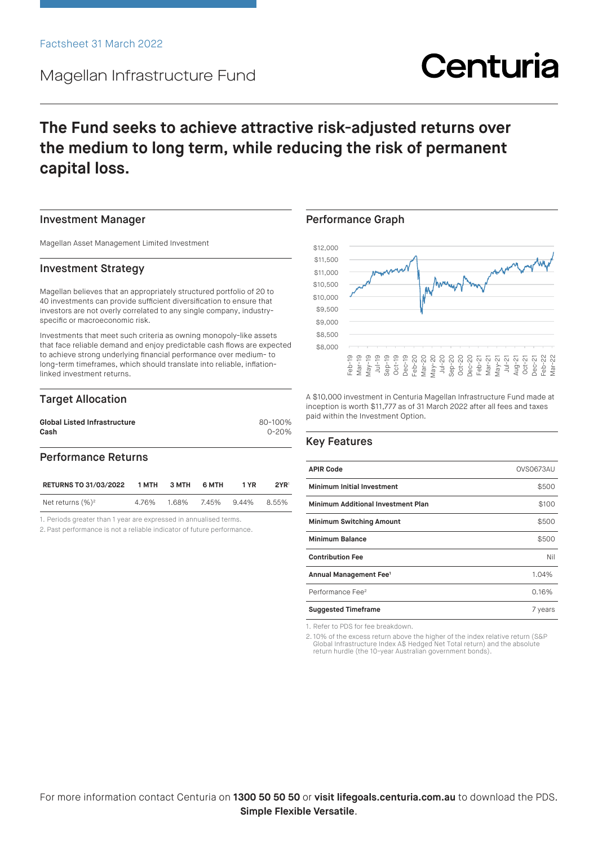## Magellan Infrastructure Fund

# Centuria

## **The Fund seeks to achieve attractive risk-adjusted returns over the medium to long term, while reducing the risk of permanent capital loss.**

#### Investment Manager

Magellan Asset Management Limited Investment

#### Investment Strategy

Magellan believes that an appropriately structured portfolio of 20 to 40 investments can provide sufficient diversification to ensure that investors are not overly correlated to any single company, industryspecific or macroeconomic risk.

Investments that meet such criteria as owning monopoly-like assets that face reliable demand and enjoy predictable cash flows are expected to achieve strong underlying financial performance over medium- to long-term timeframes, which should translate into reliable, inflationlinked investment returns.

#### Target Allocation

| <b>Global Listed Infrastructure</b> | 80-100%   |
|-------------------------------------|-----------|
| Cash                                | $0 - 20%$ |
|                                     |           |

### Performance Returns

| <b>RETURNS TO 31/03/2022</b> | 1 MTH | 3 MTH | 6 MTH             | 1 YR | 2YR   |
|------------------------------|-------|-------|-------------------|------|-------|
| Net returns $(\%)^2$         | 4.76% |       | 1.68% 7.45% 9.44% |      | 8.55% |

1. Periods greater than 1 year are expressed in annualised terms.

2. Past performance is not a reliable indicator of future performance.

#### Performance Graph



A \$10,000 investment in Centuria Magellan Infrastructure Fund made at inception is worth \$11,777 as of 31 March 2022 after all fees and taxes paid within the Investment Option.

#### Key Features

| <b>APIR Code</b>                          | OVS0673AU |
|-------------------------------------------|-----------|
| <b>Minimum Initial Investment</b>         | \$500     |
| <b>Minimum Additional Investment Plan</b> | \$100     |
| <b>Minimum Switching Amount</b>           | \$500     |
| <b>Minimum Balance</b>                    | \$500     |
| <b>Contribution Fee</b>                   | Nil       |
| Annual Management Fee <sup>1</sup>        | 1.04%     |
| Performance Fee <sup>2</sup>              | 0.16%     |
| <b>Suggested Timeframe</b>                | 7 years   |

1. Refer to PDS for fee breakdown.

2. 10% of the excess return above the higher of the index relative return (S&P Global Infrastructure Index A\$ Hedged Net Total return) and the absolute return hurdle (the 10-year Australian government bonds).